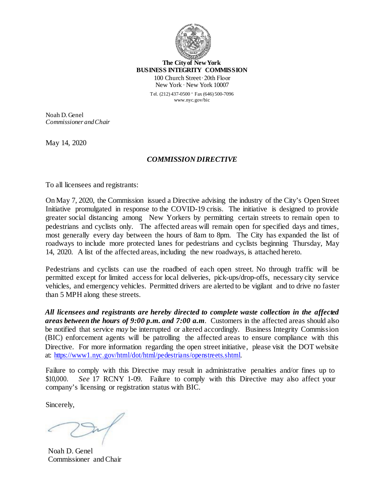

**The Cityof New York BUSINESS INTEGRITY COMMISSION** 100 Church Street∙ 20th Floor New York ∙ New York 10007 Tel. (212) 437-0500 ∙ Fax (646) 500-7096 [www.nyc.gov/bic](http://www.nyc.gov/bic)

Noah D.Genel *Commissioner andChair*

May 14, 2020

## *COMMISSION DIRECTIVE*

To all licensees and registrants:

On May 7, 2020, the Commission issued a Directive advising the industry of the City's Open Street Initiative promulgated in response to the COVID-19 crisis. The initiative is designed to provide greater social distancing among New Yorkers by permitting certain streets to remain open to pedestrians and cyclists only. The affected areas will remain open for specified days and times, most generally every day between the hours of 8am to 8pm. The City has expanded the list of roadways to include more protected lanes for pedestrians and cyclists beginning Thursday, May 14, 2020. A list of the affected areas, including the new roadways, is attached hereto.

Pedestrians and cyclists can use the roadbed of each open street. No through traffic will be permitted except for limited access for local deliveries, pick-ups/drop-offs, necessary city service vehicles, and emergency vehicles. Permitted drivers are alerted to be vigilant and to drive no faster than 5 MPH along these streets.

*All licensees and registrants are hereby directed to complete waste collection in the affected areas between the hours of 9:00 p.m. and 7:00 a.m*. Customers in the affected areas should also be notified that service *may* be interrupted or altered accordingly. Business Integrity Commission (BIC) enforcement agents will be patrolling the affected areas to ensure compliance with this Directive. For more information regarding the open street initiative, please visit the DOT website at: https://www1.nyc.gov/html/dot/html/pedestrians/openstreets.shtml.

Failure to comply with this Directive may result in administrative penalties and/or fines up to \$10,000. *See* 17 RCNY 1-09. Failure to comply with this Directive may also affect your company's licensing or registration status with BIC.

Sincerely,

Noah D. Genel Commissioner andChair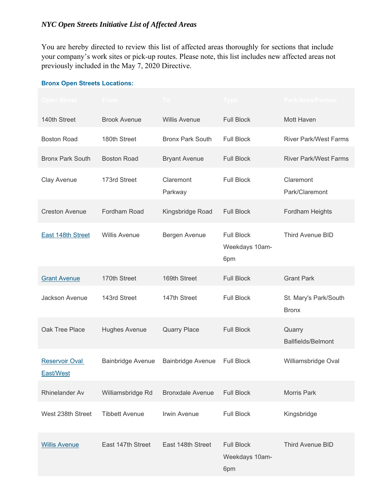You are hereby directed to review this list of affected areas thoroughly for sections that include your company's work sites or pick-up routes. Please note, this list includes new affected areas not previously included in the May 7, 2020 Directive.

## **Bronx Open Streets Locations:**

| Open Street <b>-</b>               | <b>From</b>              |                         | l ype                                      | <b>Park/Area/Partner</b>              |
|------------------------------------|--------------------------|-------------------------|--------------------------------------------|---------------------------------------|
| 140th Street                       | <b>Brook Avenue</b>      | <b>Willis Avenue</b>    | <b>Full Block</b>                          | Mott Haven                            |
| <b>Boston Road</b>                 | 180th Street             | <b>Bronx Park South</b> | <b>Full Block</b>                          | <b>River Park/West Farms</b>          |
| <b>Bronx Park South</b>            | <b>Boston Road</b>       | <b>Bryant Avenue</b>    | <b>Full Block</b>                          | <b>River Park/West Farms</b>          |
| Clay Avenue                        | 173rd Street             | Claremont<br>Parkway    | <b>Full Block</b>                          | Claremont<br>Park/Claremont           |
| <b>Creston Avenue</b>              | Fordham Road             | Kingsbridge Road        | <b>Full Block</b>                          | Fordham Heights                       |
| <b>East 148th Street</b>           | <b>Willis Avenue</b>     | Bergen Avenue           | <b>Full Block</b><br>Weekdays 10am-<br>6pm | Third Avenue BID                      |
| <b>Grant Avenue</b>                | 170th Street             | 169th Street            | <b>Full Block</b>                          | <b>Grant Park</b>                     |
| Jackson Avenue                     | 143rd Street             | 147th Street            | <b>Full Block</b>                          | St. Mary's Park/South<br><b>Bronx</b> |
| Oak Tree Place                     | <b>Hughes Avenue</b>     | <b>Quarry Place</b>     | <b>Full Block</b>                          | Quarry<br><b>Ballfields/Belmont</b>   |
| <b>Reservoir Oval</b><br>East/West | <b>Bainbridge Avenue</b> | Bainbridge Avenue       | <b>Full Block</b>                          | Williamsbridge Oval                   |
| Rhinelander Av                     | Williamsbridge Rd        | <b>Bronxdale Avenue</b> | <b>Full Block</b>                          | <b>Morris Park</b>                    |
| West 238th Street                  | <b>Tibbett Avenue</b>    | <b>Irwin Avenue</b>     | <b>Full Block</b>                          | Kingsbridge                           |
| <b>Willis Avenue</b>               | East 147th Street        | East 148th Street       | <b>Full Block</b><br>Weekdays 10am-<br>6pm | Third Avenue BID                      |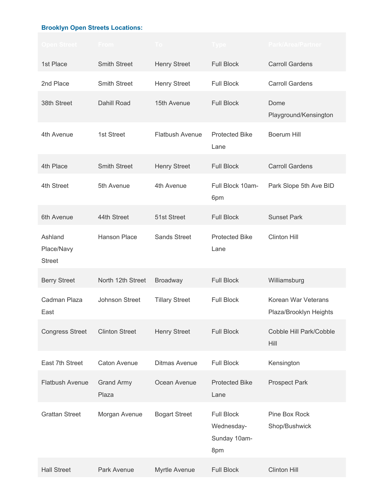## **Brooklyn Open Streets Locations:**

| Open Street :                          | <b>From</b>                | $\overline{10}$        | Type                                                   | <b>Park/Area/Partner</b>                      |
|----------------------------------------|----------------------------|------------------------|--------------------------------------------------------|-----------------------------------------------|
| 1st Place                              | <b>Smith Street</b>        | <b>Henry Street</b>    | <b>Full Block</b>                                      | <b>Carroll Gardens</b>                        |
| 2nd Place                              | <b>Smith Street</b>        | <b>Henry Street</b>    | <b>Full Block</b>                                      | <b>Carroll Gardens</b>                        |
| 38th Street                            | Dahill Road                | 15th Avenue            | <b>Full Block</b>                                      | Dome<br>Playground/Kensington                 |
| 4th Avenue                             | 1st Street                 | <b>Flatbush Avenue</b> | <b>Protected Bike</b><br>Lane                          | <b>Boerum Hill</b>                            |
| 4th Place                              | <b>Smith Street</b>        | <b>Henry Street</b>    | <b>Full Block</b>                                      | <b>Carroll Gardens</b>                        |
| 4th Street                             | 5th Avenue                 | 4th Avenue             | Full Block 10am-<br>6pm                                | Park Slope 5th Ave BID                        |
| 6th Avenue                             | 44th Street                | 51st Street            | <b>Full Block</b>                                      | <b>Sunset Park</b>                            |
| Ashland<br>Place/Navy<br><b>Street</b> | <b>Hanson Place</b>        | <b>Sands Street</b>    | <b>Protected Bike</b><br>Lane                          | <b>Clinton Hill</b>                           |
| <b>Berry Street</b>                    | North 12th Street          | <b>Broadway</b>        | <b>Full Block</b>                                      | Williamsburg                                  |
| Cadman Plaza<br>East                   | Johnson Street             | <b>Tillary Street</b>  | <b>Full Block</b>                                      | Korean War Veterans<br>Plaza/Brooklyn Heights |
| <b>Congress Street</b>                 | <b>Clinton Street</b>      | <b>Henry Street</b>    | <b>Full Block</b>                                      | Cobble Hill Park/Cobble<br>Hill               |
| East 7th Street                        | <b>Caton Avenue</b>        | <b>Ditmas Avenue</b>   | <b>Full Block</b>                                      | Kensington                                    |
| <b>Flatbush Avenue</b>                 | <b>Grand Army</b><br>Plaza | Ocean Avenue           | <b>Protected Bike</b><br>Lane                          | <b>Prospect Park</b>                          |
| <b>Grattan Street</b>                  | Morgan Avenue              | <b>Bogart Street</b>   | <b>Full Block</b><br>Wednesday-<br>Sunday 10am-<br>8pm | Pine Box Rock<br>Shop/Bushwick                |
| <b>Hall Street</b>                     | Park Avenue                | Myrtle Avenue          | <b>Full Block</b>                                      | <b>Clinton Hill</b>                           |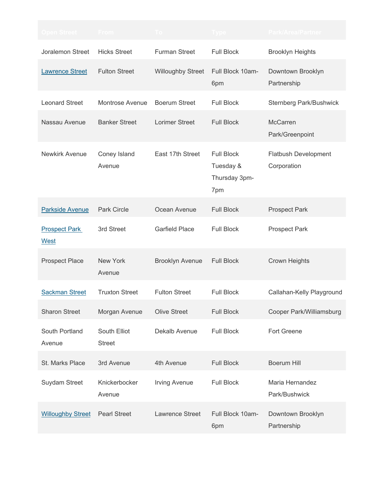| Open Street <b>A</b>         | <b>From</b>                   |                          |                                                        | <b>Park/Area/Partner</b>                   |
|------------------------------|-------------------------------|--------------------------|--------------------------------------------------------|--------------------------------------------|
| Joralemon Street             | <b>Hicks Street</b>           | <b>Furman Street</b>     | <b>Full Block</b>                                      | <b>Brooklyn Heights</b>                    |
| <b>Lawrence Street</b>       | <b>Fulton Street</b>          | <b>Willoughby Street</b> | Full Block 10am-<br>6pm                                | Downtown Brooklyn<br>Partnership           |
| <b>Leonard Street</b>        | Montrose Avenue               | <b>Boerum Street</b>     | <b>Full Block</b>                                      | <b>Sternberg Park/Bushwick</b>             |
| Nassau Avenue                | <b>Banker Street</b>          | <b>Lorimer Street</b>    | <b>Full Block</b>                                      | <b>McCarren</b><br>Park/Greenpoint         |
| Newkirk Avenue               | Coney Island<br>Avenue        | East 17th Street         | <b>Full Block</b><br>Tuesday &<br>Thursday 3pm-<br>7pm | <b>Flatbush Development</b><br>Corporation |
| <b>Parkside Avenue</b>       | <b>Park Circle</b>            | Ocean Avenue             | <b>Full Block</b>                                      | <b>Prospect Park</b>                       |
| <b>Prospect Park</b><br>West | 3rd Street                    | <b>Garfield Place</b>    | <b>Full Block</b>                                      | <b>Prospect Park</b>                       |
| <b>Prospect Place</b>        | New York<br>Avenue            | <b>Brooklyn Avenue</b>   | <b>Full Block</b>                                      | <b>Crown Heights</b>                       |
| <b>Sackman Street</b>        | <b>Truxton Street</b>         | <b>Fulton Street</b>     | <b>Full Block</b>                                      | Callahan-Kelly Playground                  |
| <b>Sharon Street</b>         | Morgan Avenue                 | <b>Olive Street</b>      | <b>Full Block</b>                                      | Cooper Park/Williamsburg                   |
| South Portland<br>Avenue     | South Elliot<br><b>Street</b> | Dekalb Avenue            | <b>Full Block</b>                                      | <b>Fort Greene</b>                         |
| St. Marks Place              | 3rd Avenue                    | 4th Avenue               | <b>Full Block</b>                                      | <b>Boerum Hill</b>                         |
| Suydam Street                | Knickerbocker<br>Avenue       | <b>Irving Avenue</b>     | <b>Full Block</b>                                      | Maria Hernandez<br>Park/Bushwick           |
| <b>Willoughby Street</b>     | <b>Pearl Street</b>           | Lawrence Street          | Full Block 10am-<br>6pm                                | Downtown Brooklyn<br>Partnership           |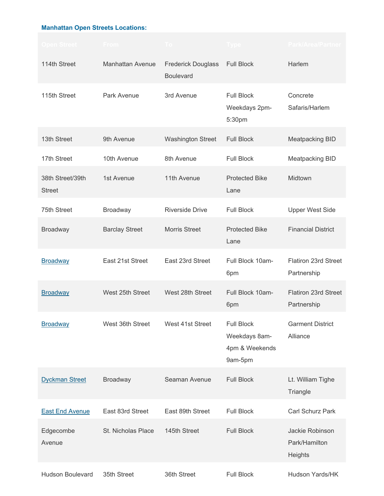## **Manhattan Open Streets Locations:**

| Open Street :                     | <b>From</b>             | $\overline{1}$ O                              | Type                                                            | <b>Park/Area/Partner</b>                    |
|-----------------------------------|-------------------------|-----------------------------------------------|-----------------------------------------------------------------|---------------------------------------------|
| 114th Street                      | <b>Manhattan Avenue</b> | <b>Frederick Douglass</b><br><b>Boulevard</b> | <b>Full Block</b>                                               | Harlem                                      |
| 115th Street                      | Park Avenue             | 3rd Avenue                                    | <b>Full Block</b><br>Weekdays 2pm-<br>5:30pm                    | Concrete<br>Safaris/Harlem                  |
| 13th Street                       | 9th Avenue              | <b>Washington Street</b>                      | <b>Full Block</b>                                               | <b>Meatpacking BID</b>                      |
| 17th Street                       | 10th Avenue             | 8th Avenue                                    | <b>Full Block</b>                                               | <b>Meatpacking BID</b>                      |
| 38th Street/39th<br><b>Street</b> | 1st Avenue              | 11th Avenue                                   | <b>Protected Bike</b><br>Lane                                   | Midtown                                     |
| 75th Street                       | Broadway                | <b>Riverside Drive</b>                        | <b>Full Block</b>                                               | <b>Upper West Side</b>                      |
| <b>Broadway</b>                   | <b>Barclay Street</b>   | <b>Morris Street</b>                          | <b>Protected Bike</b><br>Lane                                   | <b>Financial District</b>                   |
| <b>Broadway</b>                   | East 21st Street        | East 23rd Street                              | Full Block 10am-<br>6pm                                         | Flatiron 23rd Street<br>Partnership         |
| <b>Broadway</b>                   | West 25th Street        | West 28th Street                              | Full Block 10am-<br>6pm                                         | <b>Flatiron 23rd Street</b><br>Partnership  |
| <b>Broadway</b>                   | West 36th Street        | West 41st Street                              | <b>Full Block</b><br>Weekdays 8am-<br>4pm & Weekends<br>9am-5pm | <b>Garment District</b><br>Alliance         |
| <b>Dyckman Street</b>             | <b>Broadway</b>         | Seaman Avenue                                 | <b>Full Block</b>                                               | Lt. William Tighe<br>Triangle               |
| <b>East End Avenue</b>            | East 83rd Street        | East 89th Street                              | <b>Full Block</b>                                               | Carl Schurz Park                            |
| Edgecombe<br>Avenue               | St. Nicholas Place      | 145th Street                                  | <b>Full Block</b>                                               | Jackie Robinson<br>Park/Hamilton<br>Heights |
| <b>Hudson Boulevard</b>           | 35th Street             | 36th Street                                   | <b>Full Block</b>                                               | Hudson Yards/HK                             |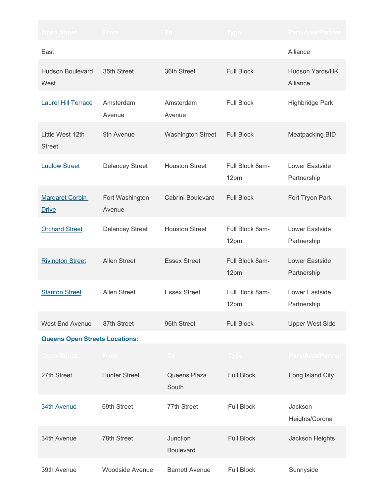| Open Street :                          | <b>From</b>               |                              |                         | <b>Park/Area/Partner</b>           |  |
|----------------------------------------|---------------------------|------------------------------|-------------------------|------------------------------------|--|
| East                                   |                           |                              |                         | Alliance                           |  |
| <b>Hudson Boulevard</b><br>West        | 35th Street               | 36th Street                  | <b>Full Block</b>       | <b>Hudson Yards/HK</b><br>Alliance |  |
| <b>Laurel Hill Terrace</b>             | Amsterdam<br>Avenue       | Amsterdam<br>Avenue          | <b>Full Block</b>       | Highbridge Park                    |  |
| Little West 12th<br><b>Street</b>      | 9th Avenue                | <b>Washington Street</b>     | <b>Full Block</b>       | <b>Meatpacking BID</b>             |  |
| <b>Ludlow Street</b>                   | <b>Delancey Street</b>    | <b>Houston Street</b>        | Full Block 8am-<br>12pm | Lower Eastside<br>Partnership      |  |
| <b>Margaret Corbin</b><br><b>Drive</b> | Fort Washington<br>Avenue | Cabrini Boulevard            | <b>Full Block</b>       | Fort Tryon Park                    |  |
| <b>Orchard Street</b>                  | <b>Delancey Street</b>    | <b>Houston Street</b>        | Full Block 8am-<br>12pm | Lower Eastside<br>Partnership      |  |
| <b>Rivington Street</b>                | <b>Allen Street</b>       | <b>Essex Street</b>          | Full Block 8am-<br>12pm | Lower Eastside<br>Partnership      |  |
| <b>Stanton Street</b>                  | <b>Allen Street</b>       | <b>Essex Street</b>          | Full Block 8am-<br>12pm | Lower Eastside<br>Partnership      |  |
| <b>West End Avenue</b>                 | 87th Street               | 96th Street                  | <b>Full Block</b>       | <b>Upper West Side</b>             |  |
| <b>Queens Open Streets Locations:</b>  |                           |                              |                         |                                    |  |
| Open Street                            | <b>From</b>               | To i                         | Type :                  | <b>Park/Area/Partner</b>           |  |
| 27th Street                            | <b>Hunter Street</b>      | Queens Plaza<br>South        | <b>Full Block</b>       | Long Island City                   |  |
| 34th Avenue                            | 69th Street               | 77th Street                  | <b>Full Block</b>       | Jackson<br>Heights/Corona          |  |
| 34th Avenue                            | 78th Street               | Junction<br><b>Boulevard</b> | <b>Full Block</b>       | Jackson Heights                    |  |
| 39th Avenue                            | Woodside Avenue           | <b>Barnett Avenue</b>        | <b>Full Block</b>       | Sunnyside                          |  |